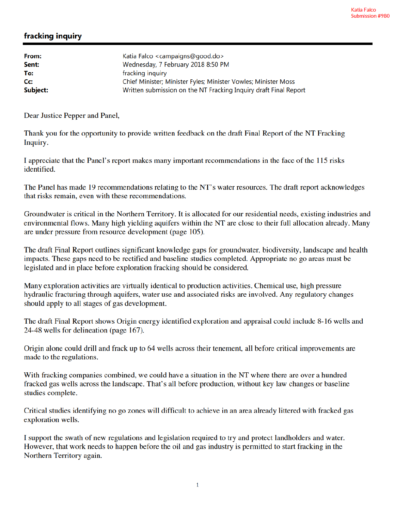## fracking inquiry

| From:            | Katia Falco <campaigns@good.do></campaigns@good.do>              |
|------------------|------------------------------------------------------------------|
| Sent:            | Wednesday, 7 February 2018 8:50 PM                               |
| To:              | fracking inquiry                                                 |
| $C_{\mathbf{C}}$ | Chief Minister; Minister Fyles; Minister Vowles; Minister Moss   |
| Subject:         | Written submission on the NT Fracking Inquiry draft Final Report |

Dear Justice Pepper and Panel,

Thank you for the opportunity to provide written feedback on the draft Final Report of the NT Fracking Inquiry.

I appreciate that the Panel's report makes many important recommendations in the face of the 115 risks identified.

The Panel has made 19 recommendations relating to the NT's water resources. The draft report acknowledges that risks remain, even with these recommendations.

Groundwater is critical in the Northern Territory. It is allocated for our residential needs, existing industries and environmental flows. Many high yielding aquifers within the NT are close to their full allocation already. Many are under pressure from resource development (page 105).

The draft Final Report outlines significant knowledge gaps for groundwater, biodiversity, landscape and health impacts. These gaps need to be rectified and baseline studies completed. Appropriate no go areas must be legislated and in place before exploration fracking should be considered.

Many exploration activities are virtually identical to production activities. Chemical use, high pressure hydraulic fracturing through aquifers, water use and associated risks are involved. Any regulatory changes should apply to all stages of gas development.

The draft Final Report shows Origin energy identified exploration and appraisal could include 8-16 wells and 24-48 wells for delineation (page 167).

Origin alone could drill and frack up to 64 wells across their tenement, all before critical improvements are made to the regulations.

With fracking companies combined, we could have a situation in the NT where there are over a hundred fracked gas wells across the landscape. That's all before production, without key law changes or baseline studies complete.

Critical studies identifying no go zones will difficult to achieve in an area already littered with fracked gas exploration wells.

I support the swath of new regulations and legislation required to try and protect landholders and water. However, that work needs to happen before the oil and gas industry is permitted to start fracking in the Northern Territory again.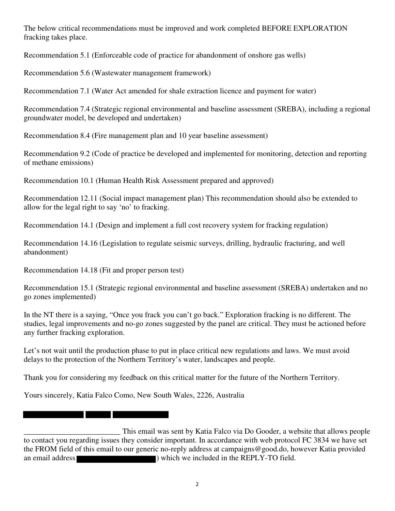The below critical recommendations must be improved and work completed BEFORE EXPLORATION fracking takes place.

Recommendation 5.1 (Enforceable code of practice for abandonment of onshore gas wells)

Recommendation 5.6 (Wastewater management framework)

Recommendation 7.1 (Water Act amended for shale extraction licence and payment for water)

Recommendation 7.4 (Strategic regional environmental and baseline assessment (SREBA), including a regional groundwater model, be developed and undertaken)

Recommendation 8.4 (Fire management plan and 10 year baseline assessment)

Recommendation 9.2 (Code of practice be developed and implemented for monitoring, detection and reporting of methane emissions)

Recommendation 10.1 (Human Health Risk Assessment prepared and approved)

Recommendation 12.11 (Social impact management plan) This recommendation should also be extended to allow for the legal right to say 'no' to fracking.

Recommendation 14.1 (Design and implement a full cost recovery system for fracking regulation)

Recommendation 14.16 (Legislation to regulate seismic surveys, drilling, hydraulic fracturing, and well abandonment)

Recommendation 14.18 (Fit and proper person test)

<u> Tanzania de la provincia de la provincia de la provincia de la provincia de la provincia de la provincia de l</u>

Recommendation 15.1 (Strategic regional environmental and baseline assessment (SREBA) undertaken and no go zones implemented)

In the NT there is a saying, "Once you frack you can't go back." Exploration fracking is no different. The studies, legal improvements and no-go zones suggested by the panel are critical. They must be actioned before any further fracking exploration.

Let's not wait until the production phase to put in place critical new regulations and laws. We must avoid delays to the protection of the Northern Territory's water, landscapes and people.

Thank you for considering my feedback on this critical matter for the future of the Northern Territory.

Yours sincerely, Katia Falco Como, New South Wales, 2226, Australia

This email was sent by Katia Falco via Do Gooder, a website that allows people<br>to contact you regarding issues they consider important. In accordance with web protocol FC 3834 we have set the FROM field of this email to our generic no-reply address at campaigns@good.do, however Katia provided an email address ) which we included in the REPLY-TO field.